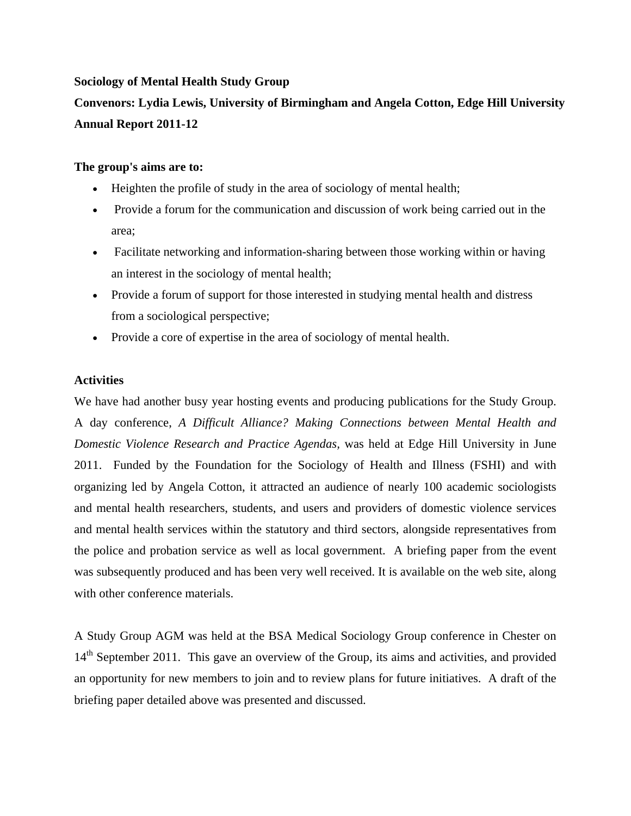## **Sociology of Mental Health Study Group**

# **Convenors: Lydia Lewis, University of Birmingham and Angela Cotton, Edge Hill University Annual Report 2011-12**

### **The group's aims are to:**

- Heighten the profile of study in the area of sociology of mental health;
- Provide a forum for the communication and discussion of work being carried out in the area;
- Facilitate networking and information-sharing between those working within or having an interest in the sociology of mental health;
- Provide a forum of support for those interested in studying mental health and distress from a sociological perspective;
- Provide a core of expertise in the area of sociology of mental health.

## **Activities**

We have had another busy year hosting events and producing publications for the Study Group. A day conference, *A Difficult Alliance? Making Connections between Mental Health and Domestic Violence Research and Practice Agendas,* was held at Edge Hill University in June 2011. Funded by the Foundation for the Sociology of Health and Illness (FSHI) and with organizing led by Angela Cotton, it attracted an audience of nearly 100 academic sociologists and mental health researchers, students, and users and providers of domestic violence services and mental health services within the statutory and third sectors, alongside representatives from the police and probation service as well as local government. A briefing paper from the event was subsequently produced and has been very well received. It is available on the web site, along with other conference materials.

A Study Group AGM was held at the BSA Medical Sociology Group conference in Chester on 14<sup>th</sup> September 2011. This gave an overview of the Group, its aims and activities, and provided an opportunity for new members to join and to review plans for future initiatives. A draft of the briefing paper detailed above was presented and discussed.